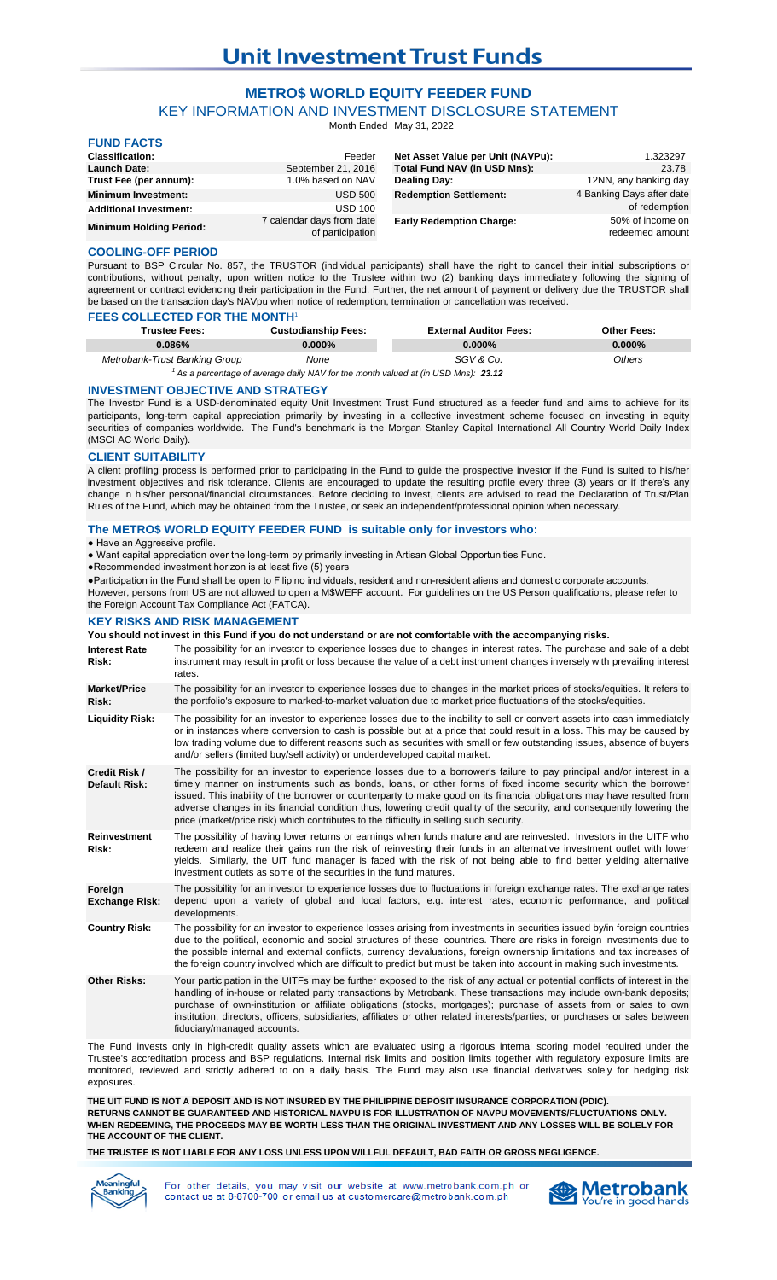# **Unit Investment Trust Funds**

### **METRO\$ WORLD EQUITY FEEDER FUND**

KEY INFORMATION AND INVESTMENT DISCLOSURE STATEMENT

Month Ended May 31, 2022

| <b>FUND FACTS</b>              |                                               |                                   |                                     |
|--------------------------------|-----------------------------------------------|-----------------------------------|-------------------------------------|
| <b>Classification:</b>         | Feeder                                        | Net Asset Value per Unit (NAVPu): | 1.323297                            |
| <b>Launch Date:</b>            | September 21, 2016                            | Total Fund NAV (in USD Mns):      | 23.78                               |
| Trust Fee (per annum):         | 1.0% based on NAV                             | Dealing Day:                      | 12NN, any banking day               |
| <b>Minimum Investment:</b>     | <b>USD 500</b>                                | <b>Redemption Settlement:</b>     | 4 Banking Days after date           |
| <b>Additional Investment:</b>  | <b>USD 100</b>                                |                                   | of redemption                       |
| <b>Minimum Holding Period:</b> | 7 calendar days from date<br>of participation | <b>Early Redemption Charge:</b>   | 50% of income on<br>redeemed amount |

### **COOLING-OFF PERIOD**

**FUND FACTS**

Pursuant to BSP Circular No. 857, the TRUSTOR (individual participants) shall have the right to cancel their initial subscriptions or contributions, without penalty, upon written notice to the Trustee within two (2) banking days immediately following the signing of agreement or contract evidencing their participation in the Fund. Further, the net amount of payment or delivery due the TRUSTOR shall be based on the transaction day's NAVpu when notice of redemption, termination or cancellation was received.

### **FEES COLLECTED FOR THE MONTH**

| <b>Trustee Fees:</b>                                                                         | <b>Custodianship Fees:</b> | <b>External Auditor Fees:</b> | <b>Other Fees:</b> |  |
|----------------------------------------------------------------------------------------------|----------------------------|-------------------------------|--------------------|--|
| $0.086\%$                                                                                    | 0.000%                     | $0.000\%$                     | $0.000\%$          |  |
| Metrobank-Trust Banking Group                                                                | None                       | SGV & Co.                     | Others             |  |
| $^{\prime}$ As a percentage of average daily NAV for the month valued at (in USD Mns): 23.12 |                            |                               |                    |  |

### **INVESTMENT OBJECTIVE AND STRATEGY**

The Investor Fund is a USD-denominated equity Unit Investment Trust Fund structured as a feeder fund and aims to achieve for its participants, long-term capital appreciation primarily by investing in a collective investment scheme focused on investing in equity securities of companies worldwide. The Fund's benchmark is the Morgan Stanley Capital International All Country World Daily Index (MSCI AC World Daily).

### **CLIENT SUITABILITY**

A client profiling process is performed prior to participating in the Fund to guide the prospective investor if the Fund is suited to his/her investment objectives and risk tolerance. Clients are encouraged to update the resulting profile every three (3) years or if there's any change in his/her personal/financial circumstances. Before deciding to invest, clients are advised to read the Declaration of Trust/Plan Rules of the Fund, which may be obtained from the Trustee, or seek an independent/professional opinion when necessary.

### **The METRO\$ WORLD EQUITY FEEDER FUND is suitable only for investors who:**

### ● Have an Aggressive profile.

● Want capital appreciation over the long-term by primarily investing in Artisan Global Opportunities Fund.

●Recommended investment horizon is at least five (5) years

●Participation in the Fund shall be open to Filipino individuals, resident and non-resident aliens and domestic corporate accounts. However, persons from US are not allowed to open a M\$WEFF account. For guidelines on the US Person qualifications, please refer to

the Foreign Account Tax Compliance Act (FATCA).

## **KEY RISKS AND RISK MANAGEMENT**

|                                       | KET KIJKJ AND KIJK MANAGEMENT<br>You should not invest in this Fund if you do not understand or are not comfortable with the accompanying risks.                                                                                                                                                                                                                                                                                                                                                                                                                                         |
|---------------------------------------|------------------------------------------------------------------------------------------------------------------------------------------------------------------------------------------------------------------------------------------------------------------------------------------------------------------------------------------------------------------------------------------------------------------------------------------------------------------------------------------------------------------------------------------------------------------------------------------|
| <b>Interest Rate</b><br>Risk:         | The possibility for an investor to experience losses due to changes in interest rates. The purchase and sale of a debt<br>instrument may result in profit or loss because the value of a debt instrument changes inversely with prevailing interest<br>rates.                                                                                                                                                                                                                                                                                                                            |
| <b>Market/Price</b><br>Risk:          | The possibility for an investor to experience losses due to changes in the market prices of stocks/equities. It refers to<br>the portfolio's exposure to marked-to-market valuation due to market price fluctuations of the stocks/equities.                                                                                                                                                                                                                                                                                                                                             |
| <b>Liquidity Risk:</b>                | The possibility for an investor to experience losses due to the inability to sell or convert assets into cash immediately<br>or in instances where conversion to cash is possible but at a price that could result in a loss. This may be caused by<br>low trading volume due to different reasons such as securities with small or few outstanding issues, absence of buyers<br>and/or sellers (limited buy/sell activity) or underdeveloped capital market.                                                                                                                            |
| Credit Risk /<br><b>Default Risk:</b> | The possibility for an investor to experience losses due to a borrower's failure to pay principal and/or interest in a<br>timely manner on instruments such as bonds, loans, or other forms of fixed income security which the borrower<br>issued. This inability of the borrower or counterparty to make good on its financial obligations may have resulted from<br>adverse changes in its financial condition thus, lowering credit quality of the security, and consequently lowering the<br>price (market/price risk) which contributes to the difficulty in selling such security. |
| <b>Reinvestment</b><br>Risk:          | The possibility of having lower returns or earnings when funds mature and are reinvested. Investors in the UITF who<br>redeem and realize their gains run the risk of reinvesting their funds in an alternative investment outlet with lower<br>yields. Similarly, the UIT fund manager is faced with the risk of not being able to find better yielding alternative<br>investment outlets as some of the securities in the fund matures.                                                                                                                                                |
| Foreign<br><b>Exchange Risk:</b>      | The possibility for an investor to experience losses due to fluctuations in foreign exchange rates. The exchange rates<br>depend upon a variety of global and local factors, e.g. interest rates, economic performance, and political<br>developments.                                                                                                                                                                                                                                                                                                                                   |
| <b>Country Risk:</b>                  | The possibility for an investor to experience losses arising from investments in securities issued by/in foreign countries<br>due to the political, economic and social structures of these countries. There are risks in foreign investments due to<br>the possible internal and external conflicts, currency devaluations, foreign ownership limitations and tax increases of<br>the foreign country involved which are difficult to predict but must be taken into account in making such investments.                                                                                |
| <b>Other Risks:</b>                   | Your participation in the UITFs may be further exposed to the risk of any actual or potential conflicts of interest in the<br>handling of in-house or related party transactions by Metrobank. These transactions may include own-bank deposits;<br>purchase of own-institution or affiliate obligations (stocks, mortgages); purchase of assets from or sales to own<br>institution, directors, officers, subsidiaries, affiliates or other related interests/parties; or purchases or sales between<br>fiduciary/managed accounts.                                                     |

The Fund invests only in high-credit quality assets which are evaluated using a rigorous internal scoring model required under the Trustee's accreditation process and BSP regulations. Internal risk limits and position limits together with regulatory exposure limits are monitored, reviewed and strictly adhered to on a daily basis. The Fund may also use financial derivatives solely for hedging risk exposures.

**THE UIT FUND IS NOT A DEPOSIT AND IS NOT INSURED BY THE PHILIPPINE DEPOSIT INSURANCE CORPORATION (PDIC). RETURNS CANNOT BE GUARANTEED AND HISTORICAL NAVPU IS FOR ILLUSTRATION OF NAVPU MOVEMENTS/FLUCTUATIONS ONLY. WHEN REDEEMING, THE PROCEEDS MAY BE WORTH LESS THAN THE ORIGINAL INVESTMENT AND ANY LOSSES WILL BE SOLELY FOR THE ACCOUNT OF THE CLIENT.**

**THE TRUSTEE IS NOT LIABLE FOR ANY LOSS UNLESS UPON WILLFUL DEFAULT, BAD FAITH OR GROSS NEGLIGENCE.**



For other details, you may visit our website at www.metrobank.com.ph or contact us at 8-8700-700 or email us at customercare@metrobank.com.ph

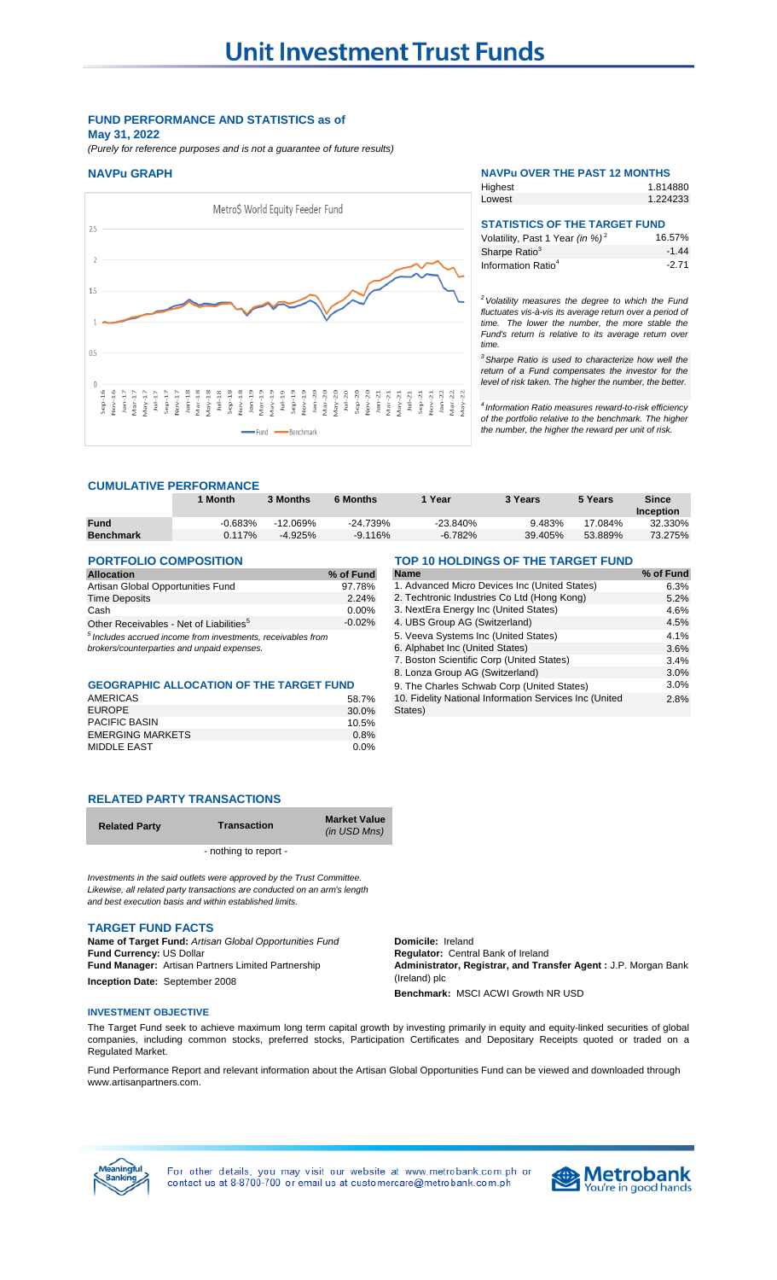### **FUND PERFORMANCE AND STATISTICS as of May 31, 2022**

*(Purely for reference purposes and is not a guarantee of future results)*



### **NAVPu GRAPH NAVPu OVER THE PAST 12 MONTHS** 1.814880 **Highest**

| <b>STATISTICS OF THE TARGET FUND</b>        |  |
|---------------------------------------------|--|
| 1.224233<br>Lowest                          |  |
| <u>r ligilioot</u><br>1.01 <del>.</del> 000 |  |

| Volatility, Past 1 Year (in %) <sup>2</sup> | 16.57%  |
|---------------------------------------------|---------|
| Sharpe Ratio <sup>3</sup>                   | $-1.44$ |
| Information Ratio <sup>4</sup>              | $-2.71$ |

*<sup>2</sup>Volatility measures the degree to which the Fund fluctuates vis-à-vis its average return over a period of time. The lower the number, the more stable the Fund's return is relative to its average return over time.* 

*<sup>3</sup>Sharpe Ratio is used to characterize how well the return of a Fund compensates the investor for the level of risk taken. The higher the number, the better.*

*4 Information Ratio measures reward-to-risk efficiency of the portfolio relative to the benchmark. The higher the number, the higher the reward per unit of risk.*

2.8%

### **CUMULATIVE PERFORMANCE**

|                                                                         | 1 Month   | 3 Months   | <b>6 Months</b>                               | 1 Year                                      | 3 Years | 5 Years | <b>Since</b><br><b>Inception</b> |
|-------------------------------------------------------------------------|-----------|------------|-----------------------------------------------|---------------------------------------------|---------|---------|----------------------------------|
| <b>Fund</b>                                                             | $-0.683%$ | $-12.069%$ | $-24.739%$                                    | $-23.840%$                                  | 9.483%  | 17.084% | 32.330%                          |
| <b>Benchmark</b>                                                        | 0.117%    | $-4.925%$  | $-9.116%$                                     | $-6.782%$                                   | 39.405% | 53.889% | 73.275%                          |
|                                                                         |           |            |                                               |                                             |         |         |                                  |
| <b>PORTFOLIO COMPOSITION</b>                                            |           |            |                                               | TOP 10 HOLDINGS OF THE TARGET FUND          |         |         |                                  |
| <b>Allocation</b>                                                       |           |            | % of Fund                                     | <b>Name</b>                                 |         |         | % of Fund                        |
| Artisan Global Opportunities Fund                                       |           | 97.78%     | 1. Advanced Micro Devices Inc (United States) |                                             | 6.3%    |         |                                  |
| <b>Time Deposits</b>                                                    |           |            | 2.24%                                         | 2. Techtronic Industries Co Ltd (Hong Kong) |         |         | 5.2%                             |
| Cash                                                                    |           |            | $0.00\%$                                      | 3. NextEra Energy Inc (United States)       |         |         | 4.6%                             |
| Other Receivables - Net of Liabilities <sup>5</sup>                     |           |            | $-0.02\%$                                     | 4. UBS Group AG (Switzerland)               |         |         | 4.5%                             |
| <sup>5</sup> Includes accrued income from investments, receivables from |           |            |                                               | 5. Veeva Systems Inc (United States)        |         | 4.1%    |                                  |
| brokers/counterparties and unpaid expenses.                             |           |            | 6. Alphabet Inc (United States)               |                                             |         | 3.6%    |                                  |
|                                                                         |           |            |                                               | 7. Boston Scientific Corp (United States)   |         |         | 3.4%                             |

States)

### GEOGRAPHIC ALLOCATION OF THE TARGET FUND 9. The Charles Schwab Corp (United States) 3.0%

| AMERICAS                | 58.7% |
|-------------------------|-------|
| <b>EUROPE</b>           | 30.0% |
| <b>PACIFIC BASIN</b>    | 10.5% |
| <b>EMERGING MARKETS</b> | 0.8%  |
| MIDDLE EAST             | 0.0%  |

### **RELATED PARTY TRANSACTIONS**

| <b>Related Party</b> | <b>Transaction</b>    | <b>Market Value</b><br>(in USD Mns) |
|----------------------|-----------------------|-------------------------------------|
|                      | - nothing to report - |                                     |

*Investments in the said outlets were approved by the Trust Committee. Likewise, all related party transactions are conducted on an arm's length and best execution basis and within established limits.*

### **TARGET FUND FACTS**

**Fund Currency: US Dollar <b>Regulator:** Central Bank of Ireland **Fund Manager:** Artisan Partners Limited Partnership **Inception Date:** September 2008 **Name of Target Fund:** *Artisan Global Opportunities Fund*

**Domicile:** Ireland **Administrator, Registrar, and Transfer Agent :** J.P. Morgan Bank (Ireland) plc

8. Lonza Group AG (Switzerland) 3.0%

10. Fidelity National Information Services Inc (United

**Benchmark:** MSCI ACWI Growth NR USD

### **INVESTMENT OBJECTIVE**

The Target Fund seek to achieve maximum long term capital growth by investing primarily in equity and equity-linked securities of global companies, including common stocks, preferred stocks, Participation Certificates and Depositary Receipts quoted or traded on a Regulated Market.

Fund Performance Report and relevant information about the Artisan Global Opportunities Fund can be viewed and downloaded through www.artisanpartners.com.



For other details, you may visit our website at www.metrobank.com.ph or contact us at 8-8700-700 or email us at customercare@metrobank.com.ph